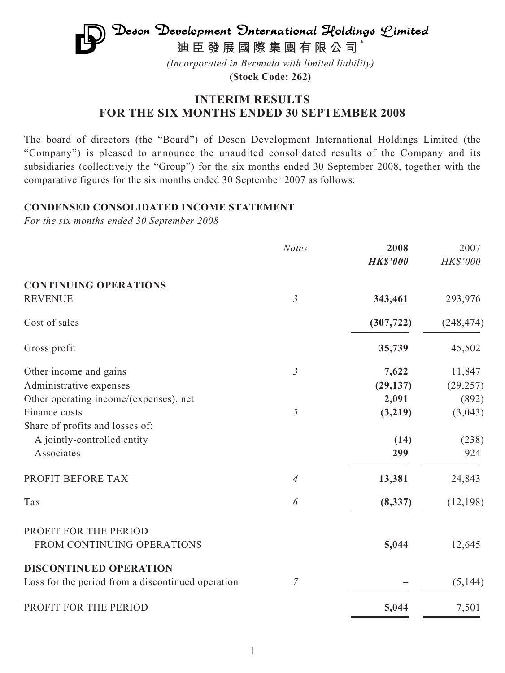

**(Stock Code: 262)**

## **INTERIM RESULTS FOR THE SIX MONTHS ENDED 30 SEPTEMBER 2008**

The board of directors (the "Board") of Deson Development International Holdings Limited (the "Company") is pleased to announce the unaudited consolidated results of the Company and its subsidiaries (collectively the "Group") for the six months ended 30 September 2008, together with the comparative figures for the six months ended 30 September 2007 as follows:

### **CONDENSED CONSOLIDATED INCOME STATEMENT**

*For the six months ended 30 September 2008*

|                                                   | <b>Notes</b>   | 2008            | 2007       |
|---------------------------------------------------|----------------|-----------------|------------|
|                                                   |                | <b>HK\$'000</b> | HK\$'000   |
| <b>CONTINUING OPERATIONS</b>                      |                |                 |            |
| <b>REVENUE</b>                                    | $\mathfrak{Z}$ | 343,461         | 293,976    |
| Cost of sales                                     |                | (307, 722)      | (248, 474) |
| Gross profit                                      |                | 35,739          | 45,502     |
| Other income and gains                            | $\mathfrak{Z}$ | 7,622           | 11,847     |
| Administrative expenses                           |                | (29, 137)       | (29, 257)  |
| Other operating income/(expenses), net            |                | 2,091           | (892)      |
| Finance costs                                     | 5              | (3,219)         | (3,043)    |
| Share of profits and losses of:                   |                |                 |            |
| A jointly-controlled entity                       |                | (14)            | (238)      |
| Associates                                        |                | 299             | 924        |
| PROFIT BEFORE TAX                                 | $\overline{4}$ | 13,381          | 24,843     |
| Tax                                               | 6              | (8, 337)        | (12, 198)  |
| PROFIT FOR THE PERIOD                             |                |                 |            |
| FROM CONTINUING OPERATIONS                        |                | 5,044           | 12,645     |
| <b>DISCONTINUED OPERATION</b>                     |                |                 |            |
| Loss for the period from a discontinued operation | $\overline{7}$ |                 | (5, 144)   |
| PROFIT FOR THE PERIOD                             |                | 5,044           | 7,501      |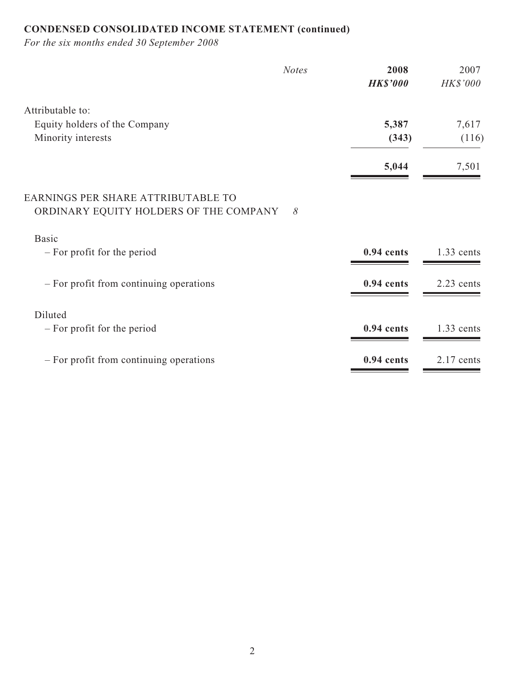# **CONDENSED CONSOLIDATED INCOME STATEMENT (continued)**

*For the six months ended 30 September 2008*

| <b>Notes</b>                                                                             | 2008<br><b>HK\$'000</b> | 2007<br>HK\$'000 |
|------------------------------------------------------------------------------------------|-------------------------|------------------|
| Attributable to:                                                                         |                         |                  |
| Equity holders of the Company                                                            | 5,387                   | 7,617            |
| Minority interests                                                                       | (343)                   | (116)            |
|                                                                                          | 5,044                   | 7,501            |
| EARNINGS PER SHARE ATTRIBUTABLE TO<br>ORDINARY EQUITY HOLDERS OF THE COMPANY<br>$\delta$ |                         |                  |
| <b>Basic</b><br>- For profit for the period                                              | 0.94 cents              | $1.33$ cents     |
| - For profit from continuing operations                                                  | 0.94 cents              | 2.23 cents       |
| Diluted                                                                                  |                         |                  |
| - For profit for the period                                                              | $0.94$ cents            | $1.33$ cents     |
| - For profit from continuing operations                                                  | 0.94 cents              | $2.17$ cents     |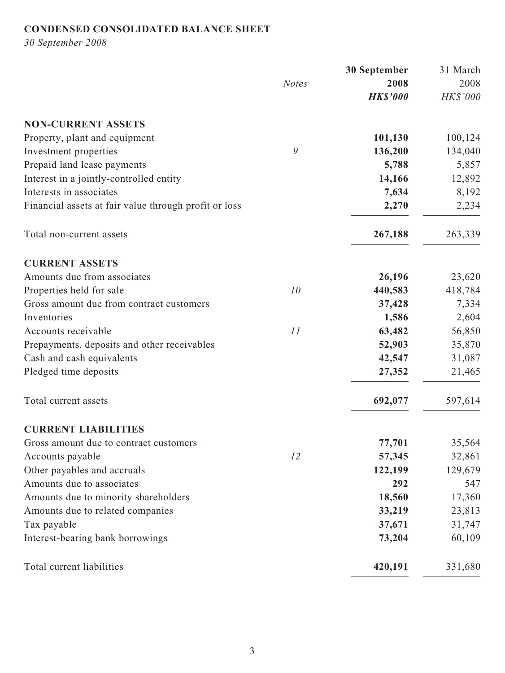## **CONDENSED CONSOLIDATED BALANCE SHEET**

*30 September 2008*

|                                                       |              | 30 September    | 31 March |
|-------------------------------------------------------|--------------|-----------------|----------|
|                                                       | <b>Notes</b> | 2008            | 2008     |
|                                                       |              | <b>HK\$'000</b> | HK\$'000 |
| <b>NON-CURRENT ASSETS</b>                             |              |                 |          |
| Property, plant and equipment                         |              | 101,130         | 100,124  |
| Investment properties                                 | 9            | 136,200         | 134,040  |
| Prepaid land lease payments                           |              | 5,788           | 5,857    |
| Interest in a jointly-controlled entity               |              | 14,166          | 12,892   |
| Interests in associates                               |              | 7,634           | 8,192    |
| Financial assets at fair value through profit or loss |              | 2,270           | 2,234    |
| Total non-current assets                              |              | 267,188         | 263,339  |
| <b>CURRENT ASSETS</b>                                 |              |                 |          |
| Amounts due from associates                           |              | 26,196          | 23,620   |
| Properties held for sale                              | 10           | 440,583         | 418,784  |
| Gross amount due from contract customers              |              | 37,428          | 7,334    |
| Inventories                                           |              | 1,586           | 2,604    |
| Accounts receivable                                   | 11           | 63,482          | 56,850   |
| Prepayments, deposits and other receivables           |              | 52,903          | 35,870   |
| Cash and cash equivalents                             |              | 42,547          | 31,087   |
| Pledged time deposits                                 |              | 27,352          | 21,465   |
| Total current assets                                  |              | 692,077         | 597,614  |
| <b>CURRENT LIABILITIES</b>                            |              |                 |          |
| Gross amount due to contract customers                |              | 77,701          | 35,564   |
| Accounts payable                                      | 12           | 57,345          | 32,861   |
| Other payables and accruals                           |              | 122,199         | 129,679  |
| Amounts due to associates                             |              | 292             | 547      |
| Amounts due to minority shareholders                  |              | 18,560          | 17,360   |
| Amounts due to related companies                      |              | 33,219          | 23,813   |
| Tax payable                                           |              | 37,671          | 31,747   |
| Interest-bearing bank borrowings                      |              | 73,204          | 60,109   |
| Total current liabilities                             |              | 420,191         | 331,680  |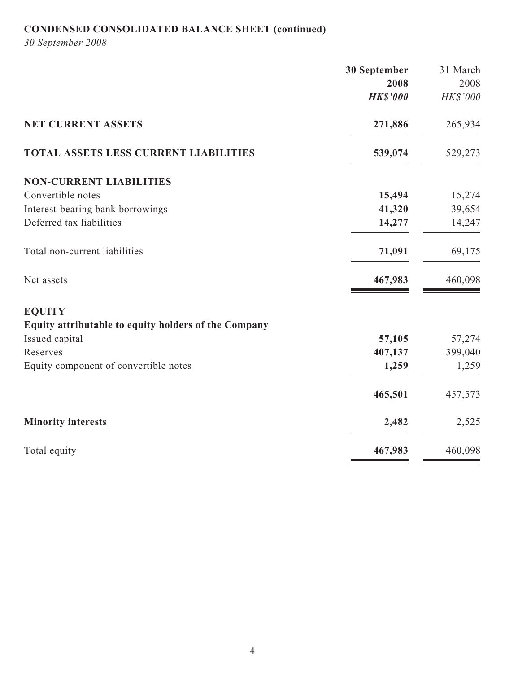# **CONDENSED CONSOLIDATED BALANCE SHEET (continued)**

*30 September 2008*

|                                                      | 30 September    | 31 March |
|------------------------------------------------------|-----------------|----------|
|                                                      | 2008            | 2008     |
|                                                      | <b>HK\$'000</b> | HK\$'000 |
| <b>NET CURRENT ASSETS</b>                            | 271,886         | 265,934  |
| <b>TOTAL ASSETS LESS CURRENT LIABILITIES</b>         | 539,074         | 529,273  |
| <b>NON-CURRENT LIABILITIES</b>                       |                 |          |
| Convertible notes                                    | 15,494          | 15,274   |
| Interest-bearing bank borrowings                     | 41,320          | 39,654   |
| Deferred tax liabilities                             | 14,277          | 14,247   |
| Total non-current liabilities                        | 71,091          | 69,175   |
| Net assets                                           | 467,983         | 460,098  |
| <b>EQUITY</b>                                        |                 |          |
| Equity attributable to equity holders of the Company |                 |          |
| Issued capital                                       | 57,105          | 57,274   |
| Reserves                                             | 407,137         | 399,040  |
| Equity component of convertible notes                | 1,259           | 1,259    |
|                                                      | 465,501         | 457,573  |
| <b>Minority interests</b>                            | 2,482           | 2,525    |
| Total equity                                         | 467,983         | 460,098  |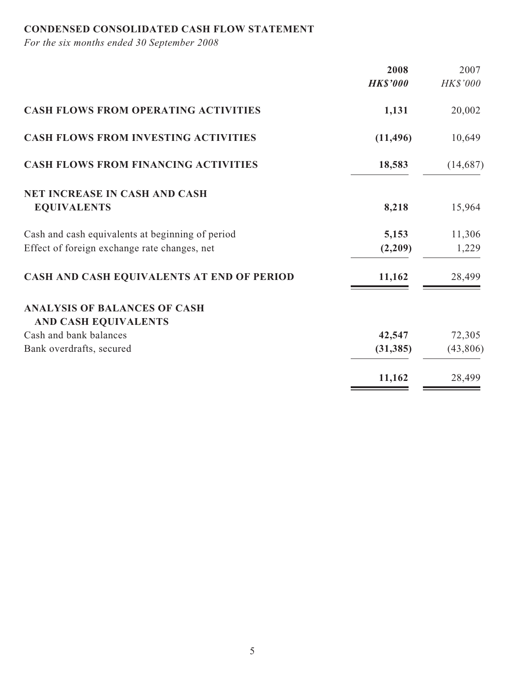## **CONDENSED CONSOLIDATED CASH FLOW STATEMENT**

*For the six months ended 30 September 2008*

|                                                                                                  | 2008             | 2007            |
|--------------------------------------------------------------------------------------------------|------------------|-----------------|
|                                                                                                  | <b>HK\$'000</b>  | HK\$'000        |
| <b>CASH FLOWS FROM OPERATING ACTIVITIES</b>                                                      | 1,131            | 20,002          |
| <b>CASH FLOWS FROM INVESTING ACTIVITIES</b>                                                      | (11, 496)        | 10,649          |
| <b>CASH FLOWS FROM FINANCING ACTIVITIES</b>                                                      | 18,583           | (14, 687)       |
| <b>NET INCREASE IN CASH AND CASH</b><br><b>EQUIVALENTS</b>                                       | 8,218            | 15,964          |
| Cash and cash equivalents at beginning of period<br>Effect of foreign exchange rate changes, net | 5,153<br>(2,209) | 11,306<br>1,229 |
| CASH AND CASH EQUIVALENTS AT END OF PERIOD                                                       | 11,162           | 28,499          |
| <b>ANALYSIS OF BALANCES OF CASH</b><br><b>AND CASH EQUIVALENTS</b>                               |                  |                 |
| Cash and bank balances                                                                           | 42,547           | 72,305          |
| Bank overdrafts, secured                                                                         | (31, 385)        | (43,806)        |
|                                                                                                  | 11,162           | 28,499          |
|                                                                                                  |                  |                 |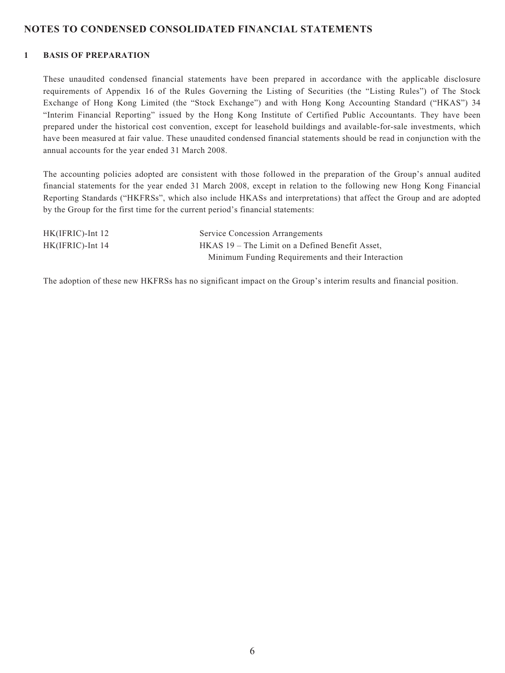### **NOTES TO CONDENSED CONSOLIDATED FINANCIAL STATEMENTS**

#### **1 BASIS OF PREPARATION**

These unaudited condensed financial statements have been prepared in accordance with the applicable disclosure requirements of Appendix 16 of the Rules Governing the Listing of Securities (the "Listing Rules") of The Stock Exchange of Hong Kong Limited (the "Stock Exchange") and with Hong Kong Accounting Standard ("HKAS") 34 "Interim Financial Reporting" issued by the Hong Kong Institute of Certified Public Accountants. They have been prepared under the historical cost convention, except for leasehold buildings and available-for-sale investments, which have been measured at fair value. These unaudited condensed financial statements should be read in conjunction with the annual accounts for the year ended 31 March 2008.

The accounting policies adopted are consistent with those followed in the preparation of the Group's annual audited financial statements for the year ended 31 March 2008, except in relation to the following new Hong Kong Financial Reporting Standards ("HKFRSs", which also include HKASs and interpretations) that affect the Group and are adopted by the Group for the first time for the current period's financial statements:

| $HK(IFRIC)$ -Int 12 | <b>Service Concession Arrangements</b>             |
|---------------------|----------------------------------------------------|
| HK(IFRIC)-Int 14    | HKAS 19 – The Limit on a Defined Benefit Asset,    |
|                     | Minimum Funding Requirements and their Interaction |

The adoption of these new HKFRSs has no significant impact on the Group's interim results and financial position.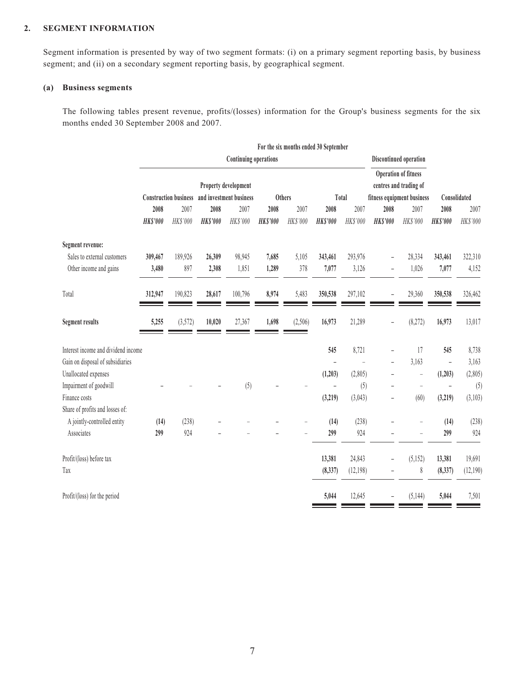#### **2. SEGMENT INFORMATION**

Segment information is presented by way of two segment formats: (i) on a primary segment reporting basis, by business segment; and (ii) on a secondary segment reporting basis, by geographical segment.

#### **(a) Business segments**

The following tables present revenue, profits/(losses) information for the Group's business segments for the six months ended 30 September 2008 and 2007.

|                                     | For the six months ended 30 September |                              |                         |                         |                         |                  |                         |                                                       |                         |                            |                          |                  |  |
|-------------------------------------|---------------------------------------|------------------------------|-------------------------|-------------------------|-------------------------|------------------|-------------------------|-------------------------------------------------------|-------------------------|----------------------------|--------------------------|------------------|--|
|                                     | <b>Continuing operations</b>          |                              |                         |                         |                         |                  |                         | Discontinued operation                                |                         |                            |                          |                  |  |
|                                     | Property development                  |                              |                         |                         |                         |                  |                         | <b>Operation of fitness</b><br>centres and trading of |                         |                            |                          |                  |  |
|                                     |                                       | <b>Construction business</b> |                         | and investment business |                         | Others           |                         | Total                                                 |                         | fitness equipment business |                          | Consolidated     |  |
|                                     | 2008<br><b>HK\$'000</b>               | 2007<br>HK\$'000             | 2008<br><b>HK\$'000</b> | 2007<br>HK\$'000        | 2008<br><b>HK\$'000</b> | 2007<br>HK\$'000 | 2008<br><b>HK\$'000</b> | 2007<br>HK\$'000                                      | 2008<br><b>HK\$'000</b> | 2007<br>HK\$'000           | 2008<br><b>HK\$'000</b>  | 2007<br>HK\$'000 |  |
| Segment revenue:                    |                                       |                              |                         |                         |                         |                  |                         |                                                       |                         |                            |                          |                  |  |
| Sales to external customers         | 309,467                               | 189,926                      | 26,309                  | 98,945                  | 7,685                   | 5,105            | 343,461                 | 293,976                                               |                         | 28,334                     | 343,461                  | 322,310          |  |
| Other income and gains              | 3,480                                 | 897                          | 2,308                   | 1,851                   | 1,289                   | 378              | 7,077                   | 3,126                                                 |                         | 1,026                      | 7,077                    | 4,152            |  |
| Total                               | 312,947                               | 190,823                      | 28,617                  | 100,796                 | 8,974                   | 5,483            | 350,538                 | 297,102                                               |                         | 29,360                     | 350,538                  | 326,462          |  |
| <b>Segment results</b>              | 5,255                                 | (3,572)                      | 10,020                  | 27,367                  | 1,698                   | (2,506)          | 16,973                  | 21,289                                                |                         | (8,272)                    | 16,973                   | 13,017           |  |
| Interest income and dividend income |                                       |                              |                         |                         |                         |                  | 545                     | 8,721                                                 |                         | 17                         | 545                      | 8,738            |  |
| Gain on disposal of subsidiaries    |                                       |                              |                         |                         |                         |                  |                         |                                                       |                         | 3,163                      | $\overline{a}$           | 3,163            |  |
| Unallocated expenses                |                                       |                              |                         |                         |                         |                  | (1,203)                 | (2,805)                                               |                         | L,                         | (1,203)                  | (2,805)          |  |
| Impairment of goodwill              |                                       |                              |                         | (5)                     |                         |                  |                         | (5)                                                   |                         | $\qquad \qquad -$          | $\overline{\phantom{a}}$ | (5)              |  |
| Finance costs                       |                                       |                              |                         |                         |                         |                  | (3,219)                 | (3,043)                                               | ۳                       | (60)                       | (3,219)                  | (3,103)          |  |
| Share of profits and losses of:     |                                       |                              |                         |                         |                         |                  |                         |                                                       |                         |                            |                          |                  |  |
| A jointly-controlled entity         | (14)                                  | (238)                        |                         |                         |                         |                  | (14)                    | (238)                                                 |                         |                            | (14)                     | (238)            |  |
| Associates                          | 299                                   | 924                          |                         |                         |                         |                  | 299                     | 924                                                   |                         |                            | 299                      | 924              |  |
| Profit/(loss) before tax            |                                       |                              |                         |                         |                         |                  | 13,381                  | 24,843                                                |                         | (5, 152)                   | 13,381                   | 19,691           |  |
| Tax                                 |                                       |                              |                         |                         |                         |                  | (8,337)                 | (12,198)                                              |                         | $\,$                       | (8, 337)                 | (12,190)         |  |
| Profit/(loss) for the period        |                                       |                              |                         |                         |                         |                  | 5,044                   | 12,645                                                |                         | (5, 144)                   | 5,044                    | 7,501            |  |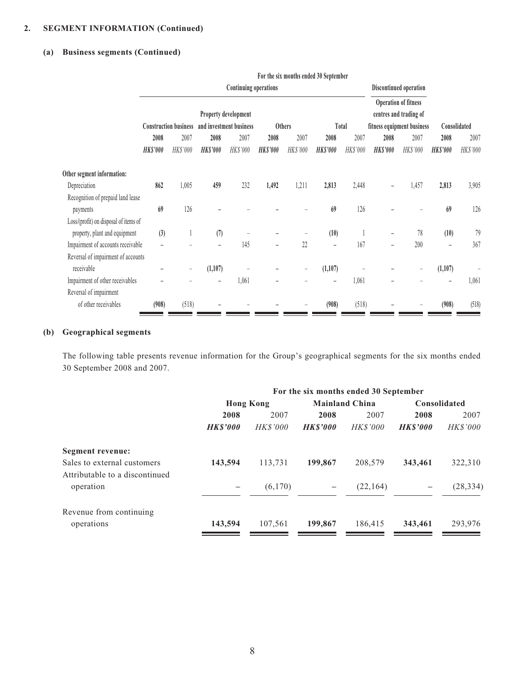## **2. SEGMENT INFORMATION (Continued)**

#### **(a) Business segments (Continued)**

|                                       |                      |                              |                         |                       |                 |                          | For the six months ended 30 September                 |          |                            |                        |                 |          |
|---------------------------------------|----------------------|------------------------------|-------------------------|-----------------------|-----------------|--------------------------|-------------------------------------------------------|----------|----------------------------|------------------------|-----------------|----------|
|                                       |                      |                              |                         | Continuing operations |                 |                          |                                                       |          |                            | Discontinued operation |                 |          |
|                                       | Property development |                              |                         |                       |                 |                          | <b>Operation of fitness</b><br>centres and trading of |          |                            |                        |                 |          |
|                                       |                      | <b>Construction business</b> | and investment business |                       |                 | <b>Others</b><br>Total   |                                                       |          | fitness equipment business |                        | Consolidated    |          |
|                                       | 2008                 | 2007                         | 2008                    | 2007                  | 2008            | 2007                     | 2008                                                  | 2007     | 2008                       | 2007                   | 2008            | 2007     |
|                                       | <b>HK\$'000</b>      | HK\$'000                     | <b>HK\$'000</b>         | HK\$'000              | <b>HK\$'000</b> | HK\$'000                 | <b>HK\$'000</b>                                       | HK\$'000 | <b>HK\$'000</b>            | HK\$'000               | <b>HK\$'000</b> | HK\$'000 |
| Other segment information:            |                      |                              |                         |                       |                 |                          |                                                       |          |                            |                        |                 |          |
| Depreciation                          | 862                  | 1,005                        | 459                     | 232                   | 1,492           | 1,211                    | 2,813                                                 | 2,448    |                            | 1,457                  | 2,813           | 3,905    |
| Recognition of prepaid land lease     |                      |                              |                         |                       |                 |                          |                                                       |          |                            |                        |                 |          |
| payments                              | 69                   | 126                          |                         |                       |                 |                          | 69                                                    | 126      |                            |                        | 69              | 126      |
| Loss/(profit) on disposal of items of |                      |                              |                         |                       |                 |                          |                                                       |          |                            |                        |                 |          |
| property, plant and equipment         | (3)                  |                              | (7)                     |                       |                 |                          | (10)                                                  |          |                            | 78                     | (10)            | 79       |
| Impairment of accounts receivable     |                      |                              |                         | 145                   |                 | 22                       | $\overline{\phantom{0}}$                              | 167      |                            | 200                    |                 | 367      |
| Reversal of impairment of accounts    |                      |                              |                         |                       |                 |                          |                                                       |          |                            |                        |                 |          |
| receivable                            |                      | $\qquad \qquad -$            | (1,107)                 |                       |                 | $\overline{\phantom{0}}$ | (1,107)                                               |          |                            | -                      | (1,107)         |          |
| Impairment of other receivables       |                      |                              | -                       | 1,061                 |                 |                          |                                                       | 1,061    |                            |                        |                 | 1,061    |
| Reversal of impairment                |                      |                              |                         |                       |                 |                          |                                                       |          |                            |                        |                 |          |
| of other receivables                  | (908)                | (518)                        |                         |                       |                 |                          | (908)                                                 | (518)    |                            |                        | (908)           | (518)    |

#### **(b) Geographical segments**

The following table presents revenue information for the Group's geographical segments for the six months ended 30 September 2008 and 2007.

|                                | For the six months ended 30 September |                  |                   |                       |                     |                 |  |
|--------------------------------|---------------------------------------|------------------|-------------------|-----------------------|---------------------|-----------------|--|
|                                |                                       | <b>Hong Kong</b> |                   | <b>Mainland China</b> | <b>Consolidated</b> |                 |  |
|                                | 2008                                  | 2007             | 2008              | 2007                  | 2008                | 2007            |  |
|                                | <b>HK\$'000</b>                       | <b>HK\$'000</b>  | <b>HK\$'000</b>   | <b>HK\$'000</b>       | <b>HK\$'000</b>     | <b>HK\$'000</b> |  |
| Segment revenue:               |                                       |                  |                   |                       |                     |                 |  |
| Sales to external customers    | 143,594                               | 113,731          | 199,867           | 208,579               | 343,461             | 322,310         |  |
| Attributable to a discontinued |                                       |                  |                   |                       |                     |                 |  |
| operation                      | —                                     | (6,170)          | $\qquad \qquad -$ | (22, 164)             | —                   | (28, 334)       |  |
|                                |                                       |                  |                   |                       |                     |                 |  |
| Revenue from continuing        |                                       |                  |                   |                       |                     |                 |  |
| operations                     | 143,594                               | 107,561          | 199,867           | 186,415               | 343,461             | 293,976         |  |
|                                |                                       |                  |                   |                       |                     |                 |  |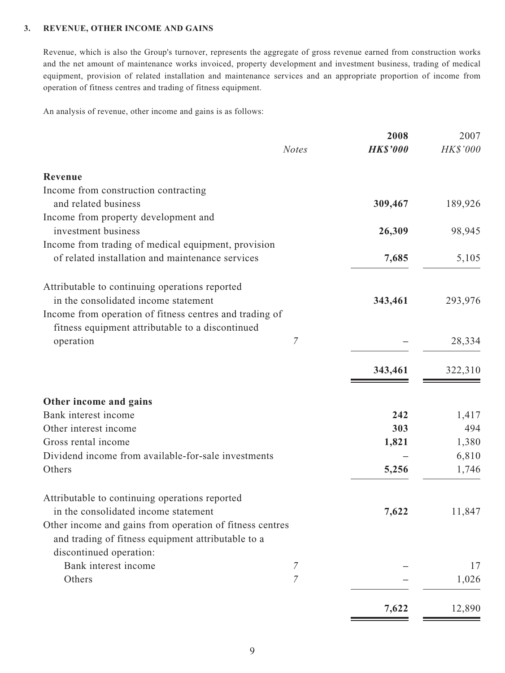#### **3. REVENUE, OTHER INCOME AND GAINS**

Revenue, which is also the Group's turnover, represents the aggregate of gross revenue earned from construction works and the net amount of maintenance works invoiced, property development and investment business, trading of medical equipment, provision of related installation and maintenance services and an appropriate proportion of income from operation of fitness centres and trading of fitness equipment.

An analysis of revenue, other income and gains is as follows:

|                                                          |              | 2008            | 2007     |
|----------------------------------------------------------|--------------|-----------------|----------|
|                                                          | <b>Notes</b> | <b>HK\$'000</b> | HK\$'000 |
| Revenue                                                  |              |                 |          |
| Income from construction contracting                     |              |                 |          |
| and related business                                     |              | 309,467         | 189,926  |
| Income from property development and                     |              |                 |          |
| investment business                                      |              | 26,309          | 98,945   |
| Income from trading of medical equipment, provision      |              |                 |          |
| of related installation and maintenance services         |              | 7,685           | 5,105    |
| Attributable to continuing operations reported           |              |                 |          |
| in the consolidated income statement                     |              | 343,461         | 293,976  |
| Income from operation of fitness centres and trading of  |              |                 |          |
| fitness equipment attributable to a discontinued         |              |                 |          |
| operation                                                | 7            |                 | 28,334   |
|                                                          |              | 343,461         | 322,310  |
| Other income and gains                                   |              |                 |          |
| Bank interest income                                     |              | 242             | 1,417    |
| Other interest income                                    |              | 303             | 494      |
| Gross rental income                                      |              | 1,821           | 1,380    |
| Dividend income from available-for-sale investments      |              |                 | 6,810    |
| Others                                                   |              | 5,256           | 1,746    |
| Attributable to continuing operations reported           |              |                 |          |
| in the consolidated income statement                     |              | 7,622           | 11,847   |
| Other income and gains from operation of fitness centres |              |                 |          |
| and trading of fitness equipment attributable to a       |              |                 |          |
| discontinued operation:                                  |              |                 |          |
| Bank interest income                                     | 7            |                 | 17       |
| Others                                                   | 7            |                 | 1,026    |
|                                                          |              | 7,622           | 12,890   |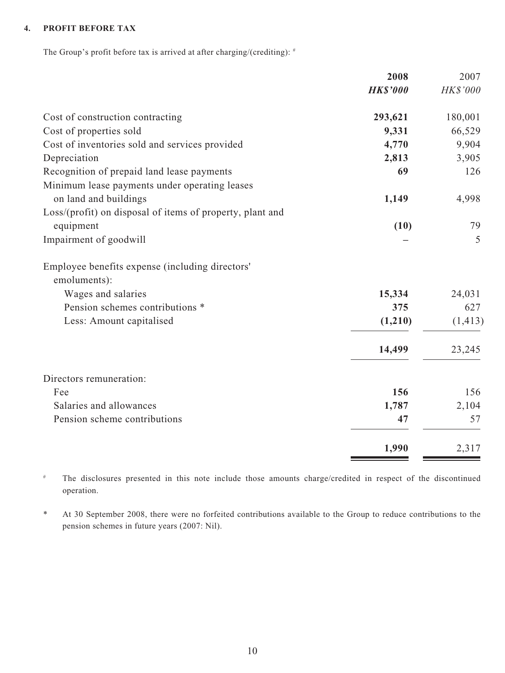### **4. PROFIT BEFORE TAX**

The Group's profit before tax is arrived at after charging/(crediting):  $*$ 

|                                                                 | 2008            | 2007     |
|-----------------------------------------------------------------|-----------------|----------|
|                                                                 | <b>HK\$'000</b> | HK\$'000 |
| Cost of construction contracting                                | 293,621         | 180,001  |
| Cost of properties sold                                         | 9,331           | 66,529   |
| Cost of inventories sold and services provided                  | 4,770           | 9,904    |
| Depreciation                                                    | 2,813           | 3,905    |
| Recognition of prepaid land lease payments                      | 69              | 126      |
| Minimum lease payments under operating leases                   |                 |          |
| on land and buildings                                           | 1,149           | 4,998    |
| Loss/(profit) on disposal of items of property, plant and       |                 |          |
| equipment                                                       | (10)            | 79       |
| Impairment of goodwill                                          |                 | 5        |
| Employee benefits expense (including directors'<br>emoluments): |                 |          |
| Wages and salaries                                              | 15,334          | 24,031   |
| Pension schemes contributions *                                 | 375             | 627      |
| Less: Amount capitalised                                        | (1,210)         | (1, 413) |
|                                                                 | 14,499          | 23,245   |
| Directors remuneration:                                         |                 |          |
| Fee                                                             | 156             | 156      |
| Salaries and allowances                                         | 1,787           | 2,104    |
| Pension scheme contributions                                    | 47              | 57       |
|                                                                 | 1,990           | 2,317    |

# The disclosures presented in this note include those amounts charge/credited in respect of the discontinued operation.

\* At 30 September 2008, there were no forfeited contributions available to the Group to reduce contributions to the pension schemes in future years (2007: Nil).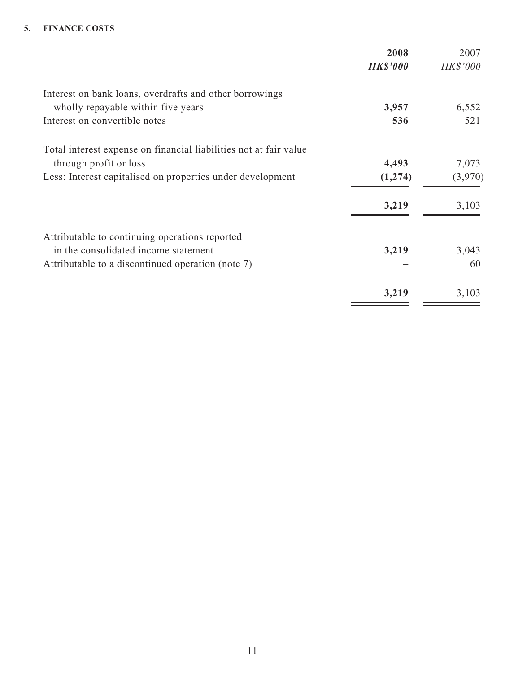#### **5. FINANCE COSTS**

| 2008            | 2007            |
|-----------------|-----------------|
| <b>HK\$'000</b> | <b>HK\$'000</b> |
|                 |                 |
| 3,957           | 6,552           |
| 536             | 521             |
|                 |                 |
| 4,493           | 7,073           |
| (1,274)         | (3,970)         |
| 3,219           | 3,103           |
|                 |                 |
| 3,219           | 3,043           |
|                 | 60              |
| 3,219           | 3,103           |
|                 |                 |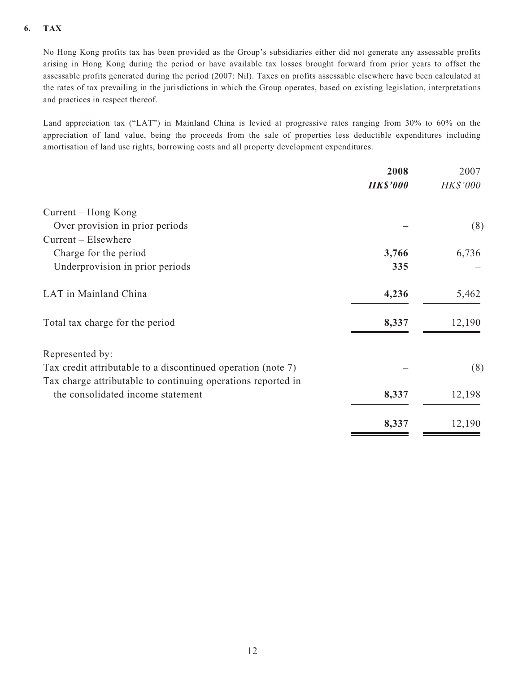### **6. TAX**

No Hong Kong profits tax has been provided as the Group's subsidiaries either did not generate any assessable profits arising in Hong Kong during the period or have available tax losses brought forward from prior years to offset the assessable profits generated during the period (2007: Nil). Taxes on profits assessable elsewhere have been calculated at the rates of tax prevailing in the jurisdictions in which the Group operates, based on existing legislation, interpretations and practices in respect thereof.

Land appreciation tax ("LAT") in Mainland China is levied at progressive rates ranging from 30% to 60% on the appreciation of land value, being the proceeds from the sale of properties less deductible expenditures including amortisation of land use rights, borrowing costs and all property development expenditures.

| 2008            | 2007            |
|-----------------|-----------------|
| <b>HK\$'000</b> | <b>HK\$'000</b> |
|                 |                 |
|                 | (8)             |
|                 |                 |
| 3,766           | 6,736           |
| 335             |                 |
| 4,236           | 5,462           |
| 8,337           | 12,190          |
|                 |                 |
|                 | (8)             |
|                 |                 |
| 8,337           | 12,198          |
| 8,337           | 12,190          |
|                 |                 |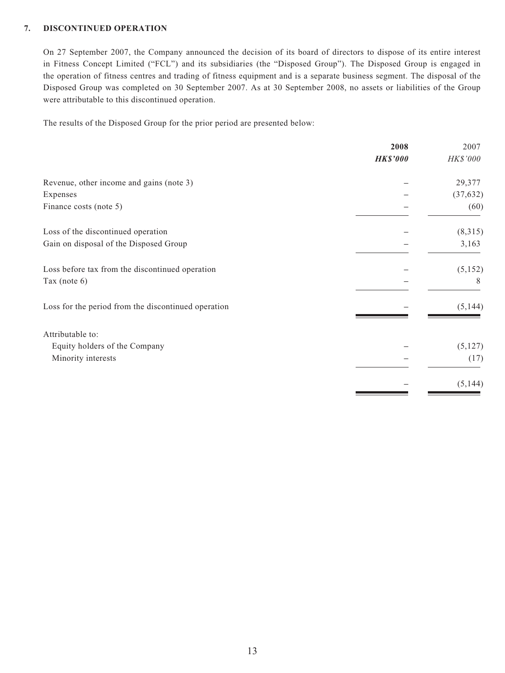#### **7. DISCONTINUED OPERATION**

On 27 September 2007, the Company announced the decision of its board of directors to dispose of its entire interest in Fitness Concept Limited ("FCL") and its subsidiaries (the "Disposed Group"). The Disposed Group is engaged in the operation of fitness centres and trading of fitness equipment and is a separate business segment. The disposal of the Disposed Group was completed on 30 September 2007. As at 30 September 2008, no assets or liabilities of the Group were attributable to this discontinued operation.

The results of the Disposed Group for the prior period are presented below:

| <b>HK\$'000</b><br>Revenue, other income and gains (note 3)<br>Expenses<br>Finance costs (note 5) | <b>HK\$'000</b><br>29,377 |
|---------------------------------------------------------------------------------------------------|---------------------------|
|                                                                                                   |                           |
|                                                                                                   |                           |
|                                                                                                   | (37, 632)                 |
|                                                                                                   | (60)                      |
| Loss of the discontinued operation                                                                | (8,315)                   |
| Gain on disposal of the Disposed Group                                                            | 3,163                     |
| Loss before tax from the discontinued operation                                                   | (5,152)                   |
| Tax (note 6)                                                                                      | 8                         |
| Loss for the period from the discontinued operation                                               | (5, 144)                  |
| Attributable to:                                                                                  |                           |
| Equity holders of the Company                                                                     | (5, 127)                  |
| Minority interests                                                                                | (17)                      |
|                                                                                                   | (5, 144)                  |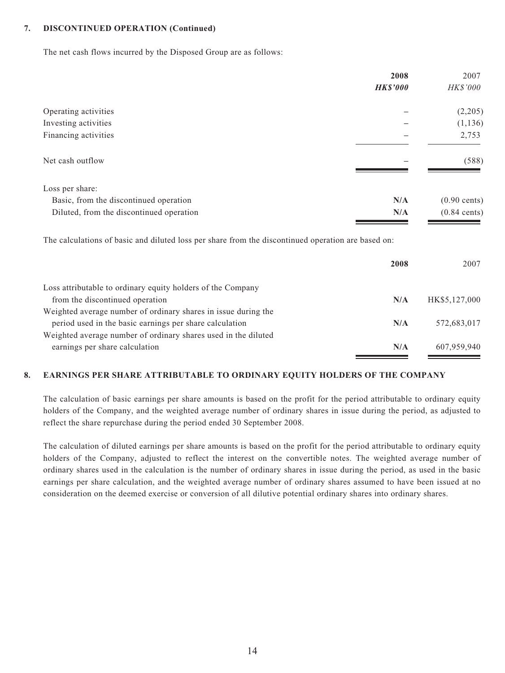#### **7. DISCONTINUED OPERATION (Continued)**

The net cash flows incurred by the Disposed Group are as follows:

|                                                                                                    | 2008            | 2007                   |
|----------------------------------------------------------------------------------------------------|-----------------|------------------------|
|                                                                                                    | <b>HK\$'000</b> | HK\$'000               |
| Operating activities                                                                               |                 | (2,205)                |
| Investing activities                                                                               |                 | (1, 136)               |
| Financing activities                                                                               |                 | 2,753                  |
| Net cash outflow                                                                                   |                 | (588)                  |
| Loss per share:                                                                                    |                 |                        |
| Basic, from the discontinued operation                                                             | N/A             | $(0.90 \text{ cents})$ |
| Diluted, from the discontinued operation                                                           | N/A             | $(0.84 \text{ cents})$ |
| The calculations of basic and diluted loss per share from the discontinued operation are based on: |                 |                        |
|                                                                                                    | 2008            | 2007                   |
| Loss attributable to ordinary equity holders of the Company                                        |                 |                        |
| from the discontinued operation                                                                    | N/A             | HK\$5,127,000          |
| Weighted average number of ordinary shares in issue during the                                     |                 |                        |
| period used in the basic earnings per share calculation                                            | N/A             | 572.683.017            |

 period used in the basic earnings per share calculation **N/A** 572,683,017 Weighted average number of ordinary shares used in the diluted earnings per share calculation **N/A** 607,959,940

#### **8. EARNINGS PER SHARE ATTRIBUTABLE TO ORDINARY EQUITY HOLDERS OF THE COMPANY**

The calculation of basic earnings per share amounts is based on the profit for the period attributable to ordinary equity holders of the Company, and the weighted average number of ordinary shares in issue during the period, as adjusted to reflect the share repurchase during the period ended 30 September 2008.

The calculation of diluted earnings per share amounts is based on the profit for the period attributable to ordinary equity holders of the Company, adjusted to reflect the interest on the convertible notes. The weighted average number of ordinary shares used in the calculation is the number of ordinary shares in issue during the period, as used in the basic earnings per share calculation, and the weighted average number of ordinary shares assumed to have been issued at no consideration on the deemed exercise or conversion of all dilutive potential ordinary shares into ordinary shares.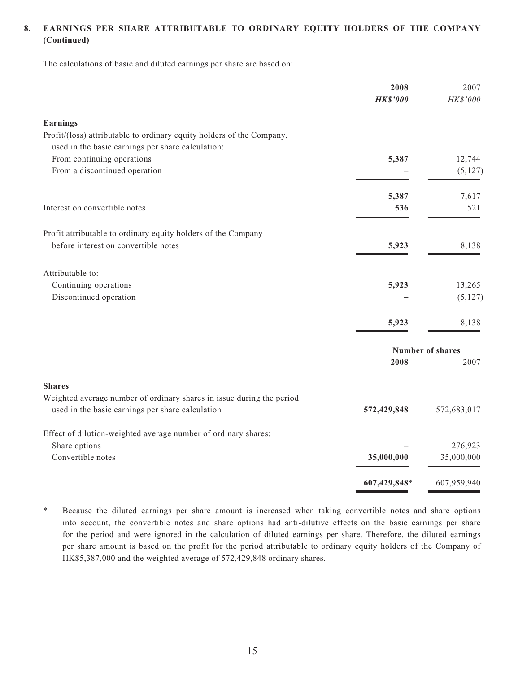### **8. EARNINGS PER SHARE ATTRIBUTABLE TO ORDINARY EQUITY HOLDERS OF THE COMPANY (Continued)**

The calculations of basic and diluted earnings per share are based on:

|                                                                       | 2008<br><b>HK\$'000</b> | 2007<br>HK\$'000 |
|-----------------------------------------------------------------------|-------------------------|------------------|
| <b>Earnings</b>                                                       |                         |                  |
| Profit/(loss) attributable to ordinary equity holders of the Company, |                         |                  |
| used in the basic earnings per share calculation:                     |                         |                  |
| From continuing operations                                            | 5,387                   | 12,744           |
| From a discontinued operation                                         |                         | (5, 127)         |
|                                                                       | 5,387                   | 7,617            |
| Interest on convertible notes                                         | 536                     | 521              |
| Profit attributable to ordinary equity holders of the Company         |                         |                  |
| before interest on convertible notes                                  | 5,923                   | 8,138            |
| Attributable to:                                                      |                         |                  |
| Continuing operations                                                 | 5,923                   | 13,265           |
| Discontinued operation                                                |                         | (5, 127)         |
|                                                                       | 5,923                   | 8,138            |
|                                                                       | <b>Number of shares</b> |                  |
|                                                                       | 2008                    | 2007             |
| <b>Shares</b>                                                         |                         |                  |
| Weighted average number of ordinary shares in issue during the period |                         |                  |
| used in the basic earnings per share calculation                      | 572,429,848             | 572,683,017      |
| Effect of dilution-weighted average number of ordinary shares:        |                         |                  |
| Share options                                                         |                         | 276,923          |
| Convertible notes                                                     | 35,000,000              | 35,000,000       |
|                                                                       | 607,429,848*            | 607,959,940      |

\* Because the diluted earnings per share amount is increased when taking convertible notes and share options into account, the convertible notes and share options had anti-dilutive effects on the basic earnings per share for the period and were ignored in the calculation of diluted earnings per share. Therefore, the diluted earnings per share amount is based on the profit for the period attributable to ordinary equity holders of the Company of HK\$5,387,000 and the weighted average of 572,429,848 ordinary shares.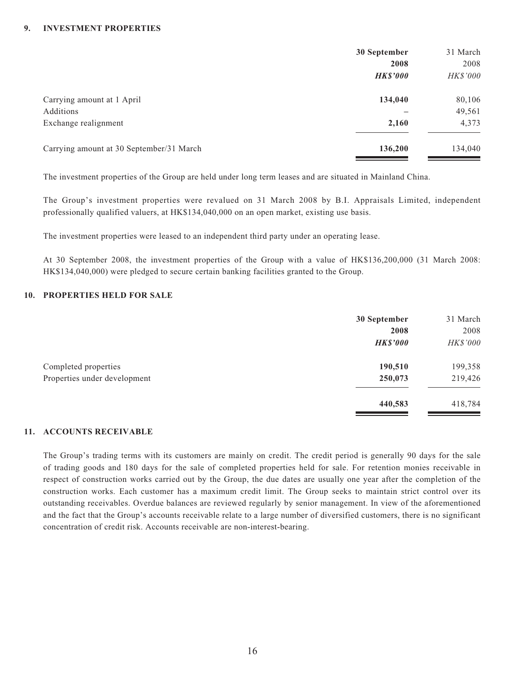#### **9. INVESTMENT PROPERTIES**

|                                          | 30 September    | 31 March        |
|------------------------------------------|-----------------|-----------------|
|                                          | 2008            | 2008            |
|                                          | <b>HK\$'000</b> | <b>HK\$'000</b> |
| Carrying amount at 1 April               | 134,040         | 80,106          |
| Additions                                |                 | 49,561          |
| Exchange realignment                     | 2,160           | 4,373           |
| Carrying amount at 30 September/31 March | 136,200         | 134,040         |

The investment properties of the Group are held under long term leases and are situated in Mainland China.

The Group's investment properties were revalued on 31 March 2008 by B.I. Appraisals Limited, independent professionally qualified valuers, at HK\$134,040,000 on an open market, existing use basis.

The investment properties were leased to an independent third party under an operating lease.

At 30 September 2008, the investment properties of the Group with a value of HK\$136,200,000 (31 March 2008: HK\$134,040,000) were pledged to secure certain banking facilities granted to the Group.

#### **10. PROPERTIES HELD FOR SALE**

|                              | 30 September    | 31 March |
|------------------------------|-----------------|----------|
|                              | 2008            | 2008     |
|                              | <b>HK\$'000</b> | HK\$'000 |
| Completed properties         | 190,510         | 199,358  |
| Properties under development | 250,073         | 219,426  |
|                              | 440,583         | 418,784  |

#### **11. ACCOUNTS RECEIVABLE**

The Group's trading terms with its customers are mainly on credit. The credit period is generally 90 days for the sale of trading goods and 180 days for the sale of completed properties held for sale. For retention monies receivable in respect of construction works carried out by the Group, the due dates are usually one year after the completion of the construction works. Each customer has a maximum credit limit. The Group seeks to maintain strict control over its outstanding receivables. Overdue balances are reviewed regularly by senior management. In view of the aforementioned and the fact that the Group's accounts receivable relate to a large number of diversified customers, there is no significant concentration of credit risk. Accounts receivable are non-interest-bearing.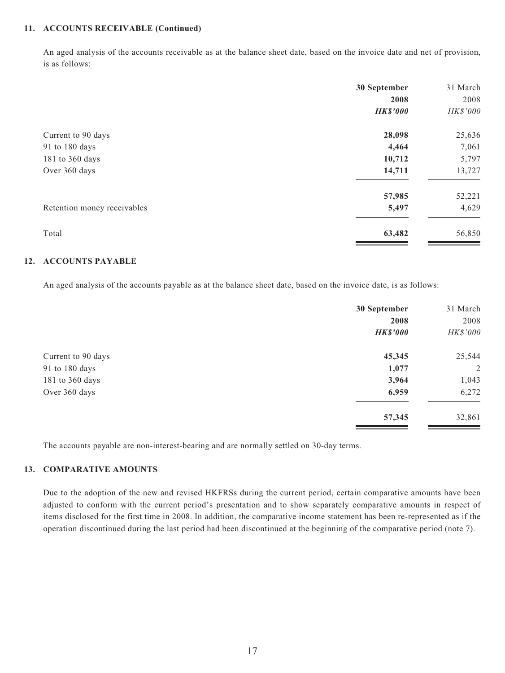#### **11. ACCOUNTS RECEIVABLE (Continued)**

An aged analysis of the accounts receivable as at the balance sheet date, based on the invoice date and net of provision, is as follows:

|                             | 30 September    | 31 March |
|-----------------------------|-----------------|----------|
|                             | 2008            | 2008     |
|                             | <b>HK\$'000</b> | HK\$'000 |
| Current to 90 days          | 28,098          | 25,636   |
| 91 to 180 days              | 4,464           | 7,061    |
| 181 to 360 days             | 10,712          | 5,797    |
| Over 360 days               | 14,711          | 13,727   |
|                             | 57,985          | 52,221   |
| Retention money receivables | 5,497           | 4,629    |
| Total                       | 63,482          | 56,850   |

#### **12. ACCOUNTS PAYABLE**

An aged analysis of the accounts payable as at the balance sheet date, based on the invoice date, is as follows:

|                    | 30 September    | 31 March |
|--------------------|-----------------|----------|
|                    | 2008            | 2008     |
|                    | <b>HK\$'000</b> | HK\$'000 |
| Current to 90 days | 45,345          | 25,544   |
| 91 to 180 days     | 1,077           | 2        |
| 181 to 360 days    | 3,964           | 1,043    |
| Over 360 days      | 6,959           | 6,272    |
|                    | 57,345          | 32,861   |

The accounts payable are non-interest-bearing and are normally settled on 30-day terms.

#### **13. COMPARATIVE AMOUNTS**

Due to the adoption of the new and revised HKFRSs during the current period, certain comparative amounts have been adjusted to conform with the current period's presentation and to show separately comparative amounts in respect of items disclosed for the first time in 2008. In addition, the comparative income statement has been re-represented as if the operation discontinued during the last period had been discontinued at the beginning of the comparative period (note 7).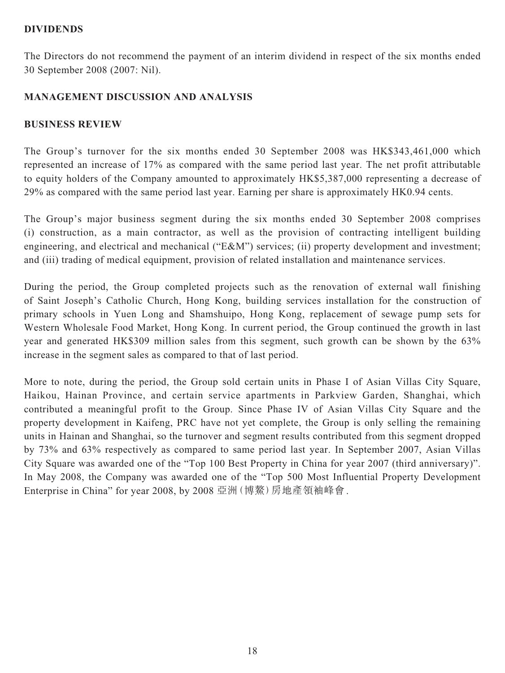### **DIVIDENDS**

The Directors do not recommend the payment of an interim dividend in respect of the six months ended 30 September 2008 (2007: Nil).

## **MANAGEMENT DISCUSSION AND ANALYSIS**

### **BUSINESS REVIEW**

The Group's turnover for the six months ended 30 September 2008 was HK\$343,461,000 which represented an increase of 17% as compared with the same period last year. The net profit attributable to equity holders of the Company amounted to approximately HK\$5,387,000 representing a decrease of 29% as compared with the same period last year. Earning per share is approximately HK0.94 cents.

The Group's major business segment during the six months ended 30 September 2008 comprises (i) construction, as a main contractor, as well as the provision of contracting intelligent building engineering, and electrical and mechanical ("E&M") services; (ii) property development and investment; and (iii) trading of medical equipment, provision of related installation and maintenance services.

During the period, the Group completed projects such as the renovation of external wall finishing of Saint Joseph's Catholic Church, Hong Kong, building services installation for the construction of primary schools in Yuen Long and Shamshuipo, Hong Kong, replacement of sewage pump sets for Western Wholesale Food Market, Hong Kong. In current period, the Group continued the growth in last year and generated HK\$309 million sales from this segment, such growth can be shown by the 63% increase in the segment sales as compared to that of last period.

More to note, during the period, the Group sold certain units in Phase I of Asian Villas City Square, Haikou, Hainan Province, and certain service apartments in Parkview Garden, Shanghai, which contributed a meaningful profit to the Group. Since Phase IV of Asian Villas City Square and the property development in Kaifeng, PRC have not yet complete, the Group is only selling the remaining units in Hainan and Shanghai, so the turnover and segment results contributed from this segment dropped by 73% and 63% respectively as compared to same period last year. In September 2007, Asian Villas City Square was awarded one of the "Top 100 Best Property in China for year 2007 (third anniversary)". In May 2008, the Company was awarded one of the "Top 500 Most Influential Property Development Enterprise in China" for year 2008, by 2008 亞洲(博鰲)房地產領袖峰會.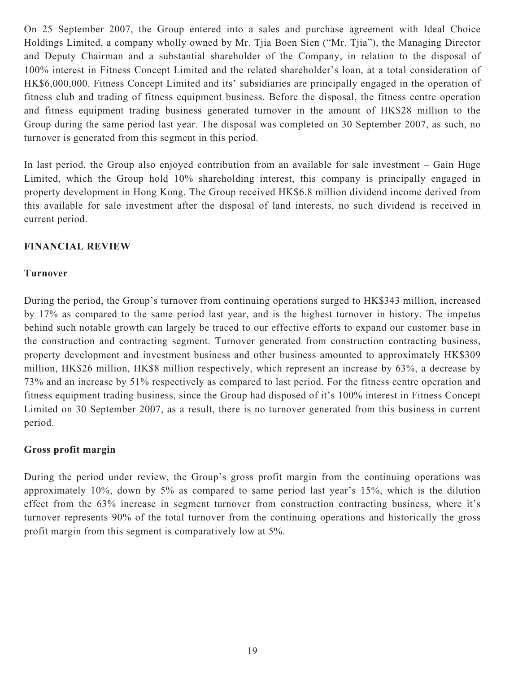On 25 September 2007, the Group entered into a sales and purchase agreement with Ideal Choice Holdings Limited, a company wholly owned by Mr. Tjia Boen Sien ("Mr. Tjia"), the Managing Director and Deputy Chairman and a substantial shareholder of the Company, in relation to the disposal of 100% interest in Fitness Concept Limited and the related shareholder's loan, at a total consideration of HK\$6,000,000. Fitness Concept Limited and its' subsidiaries are principally engaged in the operation of fitness club and trading of fitness equipment business. Before the disposal, the fitness centre operation and fitness equipment trading business generated turnover in the amount of HK\$28 million to the Group during the same period last year. The disposal was completed on 30 September 2007, as such, no turnover is generated from this segment in this period.

In last period, the Group also enjoyed contribution from an available for sale investment – Gain Huge Limited, which the Group hold 10% shareholding interest, this company is principally engaged in property development in Hong Kong. The Group received HK\$6.8 million dividend income derived from this available for sale investment after the disposal of land interests, no such dividend is received in current period.

### **FINANCIAL REVIEW**

### **Turnover**

During the period, the Group's turnover from continuing operations surged to HK\$343 million, increased by 17% as compared to the same period last year, and is the highest turnover in history. The impetus behind such notable growth can largely be traced to our effective efforts to expand our customer base in the construction and contracting segment. Turnover generated from construction contracting business, property development and investment business and other business amounted to approximately HK\$309 million, HK\$26 million, HK\$8 million respectively, which represent an increase by 63%, a decrease by 73% and an increase by 51% respectively as compared to last period. For the fitness centre operation and fitness equipment trading business, since the Group had disposed of it's 100% interest in Fitness Concept Limited on 30 September 2007, as a result, there is no turnover generated from this business in current period.

### **Gross profit margin**

During the period under review, the Group's gross profit margin from the continuing operations was approximately 10%, down by 5% as compared to same period last year's 15%, which is the dilution effect from the 63% increase in segment turnover from construction contracting business, where it's turnover represents 90% of the total turnover from the continuing operations and historically the gross profit margin from this segment is comparatively low at 5%.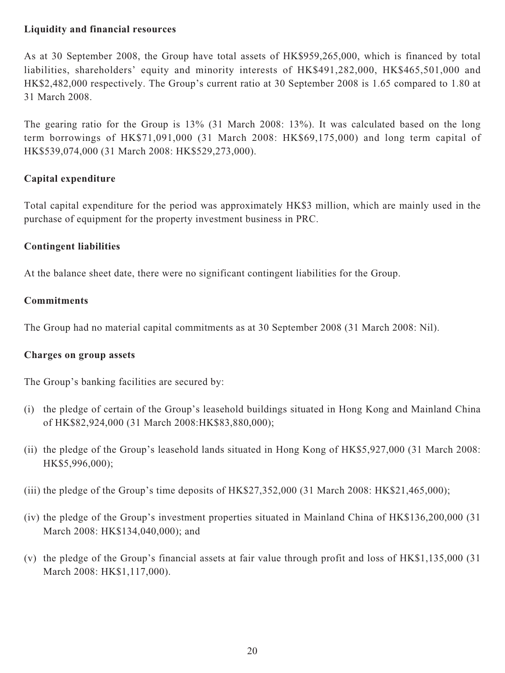## **Liquidity and financial resources**

As at 30 September 2008, the Group have total assets of HK\$959,265,000, which is financed by total liabilities, shareholders' equity and minority interests of HK\$491,282,000, HK\$465,501,000 and HK\$2,482,000 respectively. The Group's current ratio at 30 September 2008 is 1.65 compared to 1.80 at 31 March 2008.

The gearing ratio for the Group is 13% (31 March 2008: 13%). It was calculated based on the long term borrowings of HK\$71,091,000 (31 March 2008: HK\$69,175,000) and long term capital of HK\$539,074,000 (31 March 2008: HK\$529,273,000).

## **Capital expenditure**

Total capital expenditure for the period was approximately HK\$3 million, which are mainly used in the purchase of equipment for the property investment business in PRC.

## **Contingent liabilities**

At the balance sheet date, there were no significant contingent liabilities for the Group.

## **Commitments**

The Group had no material capital commitments as at 30 September 2008 (31 March 2008: Nil).

### **Charges on group assets**

The Group's banking facilities are secured by:

- (i) the pledge of certain of the Group's leasehold buildings situated in Hong Kong and Mainland China of HK\$82,924,000 (31 March 2008:HK\$83,880,000);
- (ii) the pledge of the Group's leasehold lands situated in Hong Kong of HK\$5,927,000 (31 March 2008: HK\$5,996,000);
- (iii) the pledge of the Group's time deposits of HK\$27,352,000 (31 March 2008: HK\$21,465,000);
- (iv) the pledge of the Group's investment properties situated in Mainland China of HK\$136,200,000 (31 March 2008: HK\$134,040,000); and
- (v) the pledge of the Group's financial assets at fair value through profit and loss of HK\$1,135,000 (31 March 2008: HK\$1,117,000).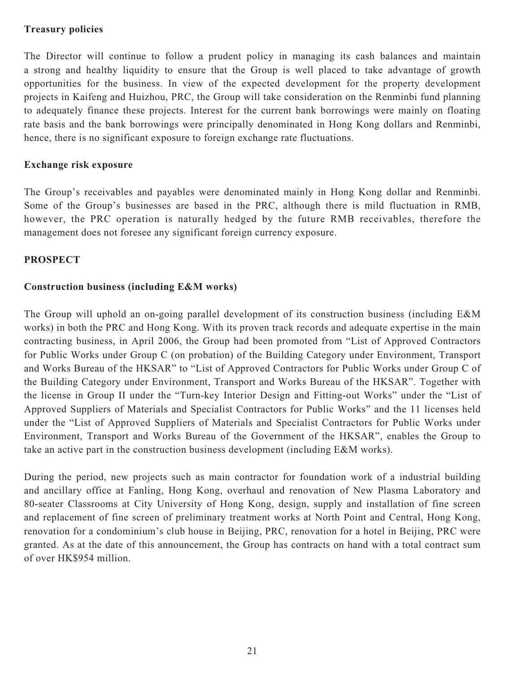### **Treasury policies**

The Director will continue to follow a prudent policy in managing its cash balances and maintain a strong and healthy liquidity to ensure that the Group is well placed to take advantage of growth opportunities for the business. In view of the expected development for the property development projects in Kaifeng and Huizhou, PRC, the Group will take consideration on the Renminbi fund planning to adequately finance these projects. Interest for the current bank borrowings were mainly on floating rate basis and the bank borrowings were principally denominated in Hong Kong dollars and Renminbi, hence, there is no significant exposure to foreign exchange rate fluctuations.

### **Exchange risk exposure**

The Group's receivables and payables were denominated mainly in Hong Kong dollar and Renminbi. Some of the Group's businesses are based in the PRC, although there is mild fluctuation in RMB, however, the PRC operation is naturally hedged by the future RMB receivables, therefore the management does not foresee any significant foreign currency exposure.

### **PROSPECT**

### **Construction business (including E&M works)**

The Group will uphold an on-going parallel development of its construction business (including E&M works) in both the PRC and Hong Kong. With its proven track records and adequate expertise in the main contracting business, in April 2006, the Group had been promoted from "List of Approved Contractors for Public Works under Group C (on probation) of the Building Category under Environment, Transport and Works Bureau of the HKSAR" to "List of Approved Contractors for Public Works under Group C of the Building Category under Environment, Transport and Works Bureau of the HKSAR". Together with the license in Group II under the "Turn-key Interior Design and Fitting-out Works" under the "List of Approved Suppliers of Materials and Specialist Contractors for Public Works" and the 11 licenses held under the "List of Approved Suppliers of Materials and Specialist Contractors for Public Works under Environment, Transport and Works Bureau of the Government of the HKSAR", enables the Group to take an active part in the construction business development (including E&M works).

During the period, new projects such as main contractor for foundation work of a industrial building and ancillary office at Fanling, Hong Kong, overhaul and renovation of New Plasma Laboratory and 80-seater Classrooms at City University of Hong Kong, design, supply and installation of fine screen and replacement of fine screen of preliminary treatment works at North Point and Central, Hong Kong, renovation for a condominium's club house in Beijing, PRC, renovation for a hotel in Beijing, PRC were granted. As at the date of this announcement, the Group has contracts on hand with a total contract sum of over HK\$954 million.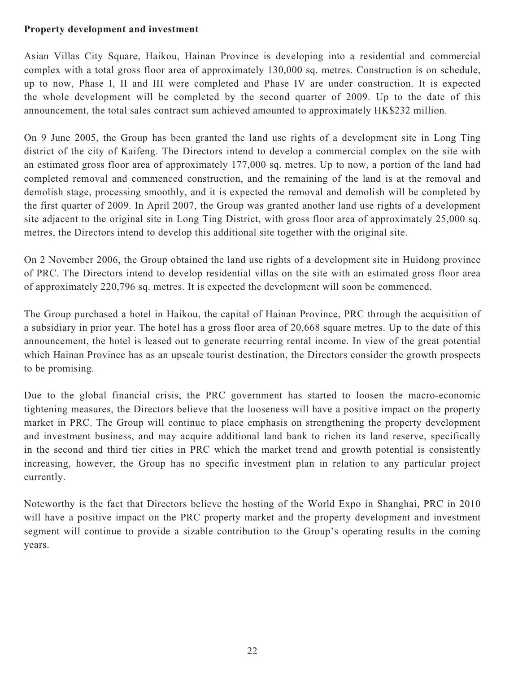### **Property development and investment**

Asian Villas City Square, Haikou, Hainan Province is developing into a residential and commercial complex with a total gross floor area of approximately 130,000 sq. metres. Construction is on schedule, up to now, Phase I, II and III were completed and Phase IV are under construction. It is expected the whole development will be completed by the second quarter of 2009. Up to the date of this announcement, the total sales contract sum achieved amounted to approximately HK\$232 million.

On 9 June 2005, the Group has been granted the land use rights of a development site in Long Ting district of the city of Kaifeng. The Directors intend to develop a commercial complex on the site with an estimated gross floor area of approximately 177,000 sq. metres. Up to now, a portion of the land had completed removal and commenced construction, and the remaining of the land is at the removal and demolish stage, processing smoothly, and it is expected the removal and demolish will be completed by the first quarter of 2009. In April 2007, the Group was granted another land use rights of a development site adjacent to the original site in Long Ting District, with gross floor area of approximately 25,000 sq. metres, the Directors intend to develop this additional site together with the original site.

On 2 November 2006, the Group obtained the land use rights of a development site in Huidong province of PRC. The Directors intend to develop residential villas on the site with an estimated gross floor area of approximately 220,796 sq. metres. It is expected the development will soon be commenced.

The Group purchased a hotel in Haikou, the capital of Hainan Province, PRC through the acquisition of a subsidiary in prior year. The hotel has a gross floor area of 20,668 square metres. Up to the date of this announcement, the hotel is leased out to generate recurring rental income. In view of the great potential which Hainan Province has as an upscale tourist destination, the Directors consider the growth prospects to be promising.

Due to the global financial crisis, the PRC government has started to loosen the macro-economic tightening measures, the Directors believe that the looseness will have a positive impact on the property market in PRC. The Group will continue to place emphasis on strengthening the property development and investment business, and may acquire additional land bank to richen its land reserve, specifically in the second and third tier cities in PRC which the market trend and growth potential is consistently increasing, however, the Group has no specific investment plan in relation to any particular project currently.

Noteworthy is the fact that Directors believe the hosting of the World Expo in Shanghai, PRC in 2010 will have a positive impact on the PRC property market and the property development and investment segment will continue to provide a sizable contribution to the Group's operating results in the coming years.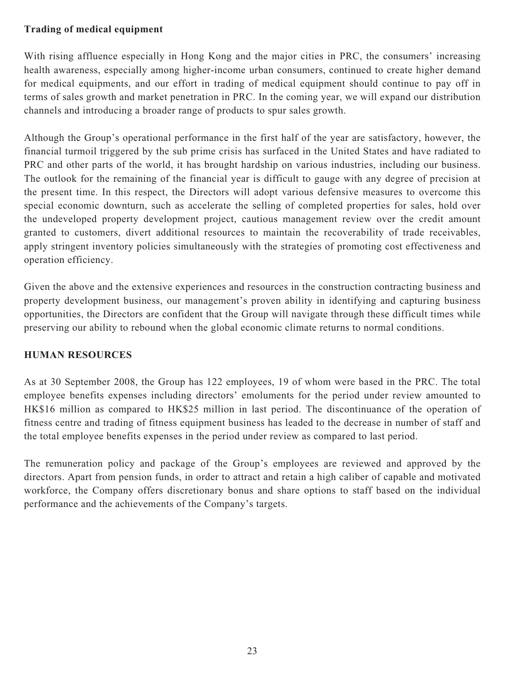## **Trading of medical equipment**

With rising affluence especially in Hong Kong and the major cities in PRC, the consumers' increasing health awareness, especially among higher-income urban consumers, continued to create higher demand for medical equipments, and our effort in trading of medical equipment should continue to pay off in terms of sales growth and market penetration in PRC. In the coming year, we will expand our distribution channels and introducing a broader range of products to spur sales growth.

Although the Group's operational performance in the first half of the year are satisfactory, however, the financial turmoil triggered by the sub prime crisis has surfaced in the United States and have radiated to PRC and other parts of the world, it has brought hardship on various industries, including our business. The outlook for the remaining of the financial year is difficult to gauge with any degree of precision at the present time. In this respect, the Directors will adopt various defensive measures to overcome this special economic downturn, such as accelerate the selling of completed properties for sales, hold over the undeveloped property development project, cautious management review over the credit amount granted to customers, divert additional resources to maintain the recoverability of trade receivables, apply stringent inventory policies simultaneously with the strategies of promoting cost effectiveness and operation efficiency.

Given the above and the extensive experiences and resources in the construction contracting business and property development business, our management's proven ability in identifying and capturing business opportunities, the Directors are confident that the Group will navigate through these difficult times while preserving our ability to rebound when the global economic climate returns to normal conditions.

## **HUMAN RESOURCES**

As at 30 September 2008, the Group has 122 employees, 19 of whom were based in the PRC. The total employee benefits expenses including directors' emoluments for the period under review amounted to HK\$16 million as compared to HK\$25 million in last period. The discontinuance of the operation of fitness centre and trading of fitness equipment business has leaded to the decrease in number of staff and the total employee benefits expenses in the period under review as compared to last period.

The remuneration policy and package of the Group's employees are reviewed and approved by the directors. Apart from pension funds, in order to attract and retain a high caliber of capable and motivated workforce, the Company offers discretionary bonus and share options to staff based on the individual performance and the achievements of the Company's targets.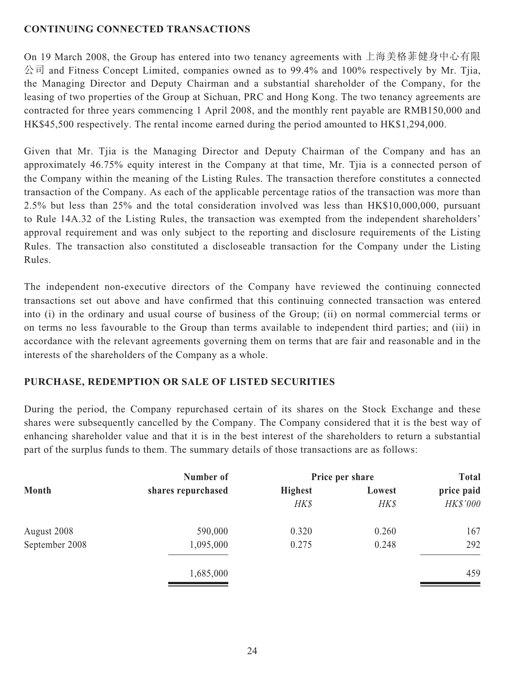## **CONTINUING CONNECTED TRANSACTIONS**

On 19 March 2008, the Group has entered into two tenancy agreements with 上海美格菲健身中心有限 公司 and Fitness Concept Limited, companies owned as to 99.4% and 100% respectively by Mr. Tjia, the Managing Director and Deputy Chairman and a substantial shareholder of the Company, for the leasing of two properties of the Group at Sichuan, PRC and Hong Kong. The two tenancy agreements are contracted for three years commencing 1 April 2008, and the monthly rent payable are RMB150,000 and HK\$45,500 respectively. The rental income earned during the period amounted to HK\$1,294,000.

Given that Mr. Tjia is the Managing Director and Deputy Chairman of the Company and has an approximately 46.75% equity interest in the Company at that time, Mr. Tjia is a connected person of the Company within the meaning of the Listing Rules. The transaction therefore constitutes a connected transaction of the Company. As each of the applicable percentage ratios of the transaction was more than 2.5% but less than 25% and the total consideration involved was less than HK\$10,000,000, pursuant to Rule 14A.32 of the Listing Rules, the transaction was exempted from the independent shareholders' approval requirement and was only subject to the reporting and disclosure requirements of the Listing Rules. The transaction also constituted a discloseable transaction for the Company under the Listing Rules.

The independent non-executive directors of the Company have reviewed the continuing connected transactions set out above and have confirmed that this continuing connected transaction was entered into (i) in the ordinary and usual course of business of the Group; (ii) on normal commercial terms or on terms no less favourable to the Group than terms available to independent third parties; and (iii) in accordance with the relevant agreements governing them on terms that are fair and reasonable and in the interests of the shareholders of the Company as a whole.

## **PURCHASE, REDEMPTION OR SALE OF LISTED SECURITIES**

During the period, the Company repurchased certain of its shares on the Stock Exchange and these shares were subsequently cancelled by the Company. The Company considered that it is the best way of enhancing shareholder value and that it is in the best interest of the shareholders to return a substantial part of the surplus funds to them. The summary details of those transactions are as follows:

|                | Number of          | Price per share |        | <b>Total</b> |  |
|----------------|--------------------|-----------------|--------|--------------|--|
| Month          | shares repurchased | <b>Highest</b>  | Lowest | price paid   |  |
|                |                    | HK\$            | HK\$   | HK\$'000     |  |
| August 2008    | 590,000            | 0.320           | 0.260  | 167          |  |
| September 2008 | 1,095,000          | 0.275           | 0.248  | 292          |  |
|                | 1,685,000          |                 |        | 459          |  |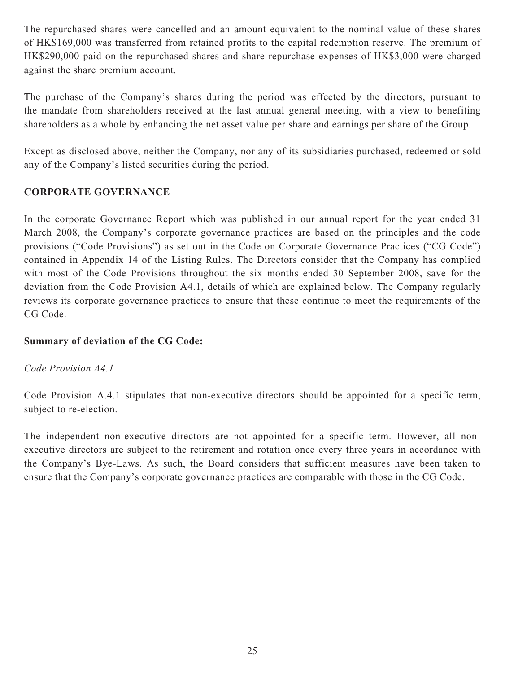The repurchased shares were cancelled and an amount equivalent to the nominal value of these shares of HK\$169,000 was transferred from retained profits to the capital redemption reserve. The premium of HK\$290,000 paid on the repurchased shares and share repurchase expenses of HK\$3,000 were charged against the share premium account.

The purchase of the Company's shares during the period was effected by the directors, pursuant to the mandate from shareholders received at the last annual general meeting, with a view to benefiting shareholders as a whole by enhancing the net asset value per share and earnings per share of the Group.

Except as disclosed above, neither the Company, nor any of its subsidiaries purchased, redeemed or sold any of the Company's listed securities during the period.

## **CORPORATE GOVERNANCE**

In the corporate Governance Report which was published in our annual report for the year ended 31 March 2008, the Company's corporate governance practices are based on the principles and the code provisions ("Code Provisions") as set out in the Code on Corporate Governance Practices ("CG Code") contained in Appendix 14 of the Listing Rules. The Directors consider that the Company has complied with most of the Code Provisions throughout the six months ended 30 September 2008, save for the deviation from the Code Provision A4.1, details of which are explained below. The Company regularly reviews its corporate governance practices to ensure that these continue to meet the requirements of the CG Code.

### **Summary of deviation of the CG Code:**

### *Code Provision A4.1*

Code Provision A.4.1 stipulates that non-executive directors should be appointed for a specific term, subject to re-election.

The independent non-executive directors are not appointed for a specific term. However, all nonexecutive directors are subject to the retirement and rotation once every three years in accordance with the Company's Bye-Laws. As such, the Board considers that sufficient measures have been taken to ensure that the Company's corporate governance practices are comparable with those in the CG Code.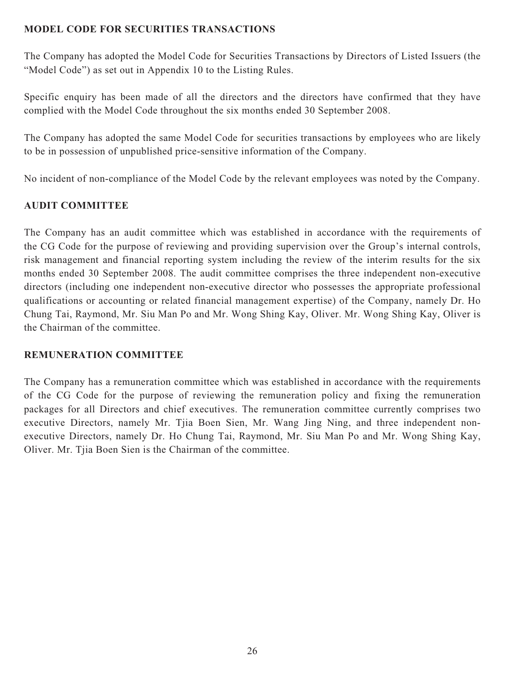## **MODEL CODE FOR SECURITIES TRANSACTIONS**

The Company has adopted the Model Code for Securities Transactions by Directors of Listed Issuers (the "Model Code") as set out in Appendix 10 to the Listing Rules.

Specific enquiry has been made of all the directors and the directors have confirmed that they have complied with the Model Code throughout the six months ended 30 September 2008.

The Company has adopted the same Model Code for securities transactions by employees who are likely to be in possession of unpublished price-sensitive information of the Company.

No incident of non-compliance of the Model Code by the relevant employees was noted by the Company.

## **AUDIT COMMITTEE**

The Company has an audit committee which was established in accordance with the requirements of the CG Code for the purpose of reviewing and providing supervision over the Group's internal controls, risk management and financial reporting system including the review of the interim results for the six months ended 30 September 2008. The audit committee comprises the three independent non-executive directors (including one independent non-executive director who possesses the appropriate professional qualifications or accounting or related financial management expertise) of the Company, namely Dr. Ho Chung Tai, Raymond, Mr. Siu Man Po and Mr. Wong Shing Kay, Oliver. Mr. Wong Shing Kay, Oliver is the Chairman of the committee.

### **REMUNERATION COMMITTEE**

The Company has a remuneration committee which was established in accordance with the requirements of the CG Code for the purpose of reviewing the remuneration policy and fixing the remuneration packages for all Directors and chief executives. The remuneration committee currently comprises two executive Directors, namely Mr. Tjia Boen Sien, Mr. Wang Jing Ning, and three independent nonexecutive Directors, namely Dr. Ho Chung Tai, Raymond, Mr. Siu Man Po and Mr. Wong Shing Kay, Oliver. Mr. Tjia Boen Sien is the Chairman of the committee.